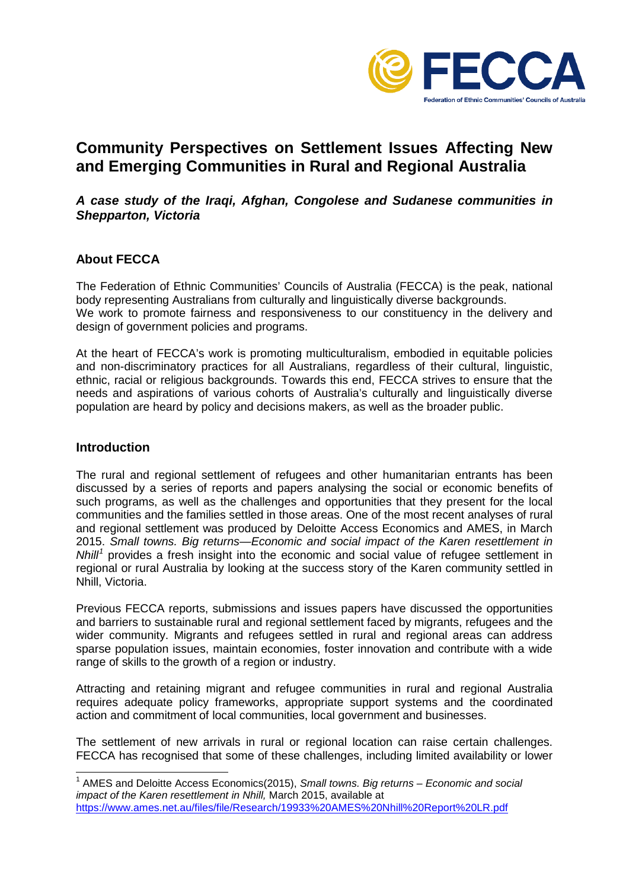

# **Community Perspectives on Settlement Issues Affecting New and Emerging Communities in Rural and Regional Australia**

### *A case study of the Iraqi, Afghan, Congolese and Sudanese communities in Shepparton, Victoria*

# **About FECCA**

The Federation of Ethnic Communities' Councils of Australia (FECCA) is the peak, national body representing Australians from culturally and linguistically diverse backgrounds. We work to promote fairness and responsiveness to our constituency in the delivery and design of government policies and programs.

At the heart of FECCA's work is promoting multiculturalism, embodied in equitable policies and non-discriminatory practices for all Australians, regardless of their cultural, linguistic, ethnic, racial or religious backgrounds. Towards this end, FECCA strives to ensure that the needs and aspirations of various cohorts of Australia's culturally and linguistically diverse population are heard by policy and decisions makers, as well as the broader public.

### **Introduction**

The rural and regional settlement of refugees and other humanitarian entrants has been discussed by a series of reports and papers analysing the social or economic benefits of such programs, as well as the challenges and opportunities that they present for the local communities and the families settled in those areas. One of the most recent analyses of rural and regional settlement was produced by Deloitte Access Economics and AMES, in March 2015. *Small towns. Big returns—Economic and social impact of the Karen resettlement in Nhill[1](#page-0-0)* provides a fresh insight into the economic and social value of refugee settlement in regional or rural Australia by looking at the success story of the Karen community settled in Nhill, Victoria.

Previous FECCA reports, submissions and issues papers have discussed the opportunities and barriers to sustainable rural and regional settlement faced by migrants, refugees and the wider community. Migrants and refugees settled in rural and regional areas can address sparse population issues, maintain economies, foster innovation and contribute with a wide range of skills to the growth of a region or industry.

Attracting and retaining migrant and refugee communities in rural and regional Australia requires adequate policy frameworks, appropriate support systems and the coordinated action and commitment of local communities, local government and businesses.

The settlement of new arrivals in rural or regional location can raise certain challenges. FECCA has recognised that some of these challenges, including limited availability or lower

<span id="page-0-0"></span> <sup>1</sup> AMES and Deloitte Access Economics(2015), *Small towns. Big returns – Economic and social impact of the Karen resettlement in Nhill,* March 2015, available at <https://www.ames.net.au/files/file/Research/19933%20AMES%20Nhill%20Report%20LR.pdf>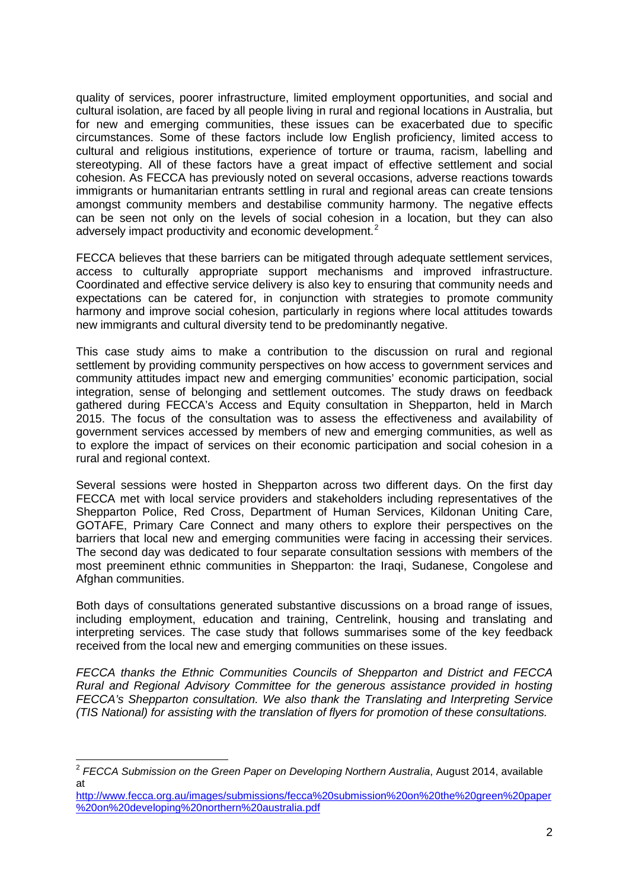quality of services, poorer infrastructure, limited employment opportunities, and social and cultural isolation, are faced by all people living in rural and regional locations in Australia, but for new and emerging communities, these issues can be exacerbated due to specific circumstances. Some of these factors include low English proficiency, limited access to cultural and religious institutions, experience of torture or trauma, racism, labelling and stereotyping. All of these factors have a great impact of effective settlement and social cohesion. As FECCA has previously noted on several occasions, adverse reactions towards immigrants or humanitarian entrants settling in rural and regional areas can create tensions amongst community members and destabilise community harmony. The negative effects can be seen not only on the levels of social cohesion in a location, but they can also adversely impact productivity and economic development.<sup>[2](#page-1-0)</sup>

FECCA believes that these barriers can be mitigated through adequate settlement services, access to culturally appropriate support mechanisms and improved infrastructure. Coordinated and effective service delivery is also key to ensuring that community needs and expectations can be catered for, in conjunction with strategies to promote community harmony and improve social cohesion, particularly in regions where local attitudes towards new immigrants and cultural diversity tend to be predominantly negative.

This case study aims to make a contribution to the discussion on rural and regional settlement by providing community perspectives on how access to government services and community attitudes impact new and emerging communities' economic participation, social integration, sense of belonging and settlement outcomes. The study draws on feedback gathered during FECCA's Access and Equity consultation in Shepparton, held in March 2015. The focus of the consultation was to assess the effectiveness and availability of government services accessed by members of new and emerging communities, as well as to explore the impact of services on their economic participation and social cohesion in a rural and regional context.

Several sessions were hosted in Shepparton across two different days. On the first day FECCA met with local service providers and stakeholders including representatives of the Shepparton Police, Red Cross, Department of Human Services, Kildonan Uniting Care, GOTAFE, Primary Care Connect and many others to explore their perspectives on the barriers that local new and emerging communities were facing in accessing their services. The second day was dedicated to four separate consultation sessions with members of the most preeminent ethnic communities in Shepparton: the Iraqi, Sudanese, Congolese and Afghan communities.

Both days of consultations generated substantive discussions on a broad range of issues, including employment, education and training, Centrelink, housing and translating and interpreting services. The case study that follows summarises some of the key feedback received from the local new and emerging communities on these issues.

*FECCA thanks the Ethnic Communities Councils of Shepparton and District and FECCA Rural and Regional Advisory Committee for the generous assistance provided in hosting FECCA's Shepparton consultation. We also thank the Translating and Interpreting Service (TIS National) for assisting with the translation of flyers for promotion of these consultations.*

<span id="page-1-0"></span><sup>&</sup>lt;sup>2</sup> FECCA Submission on the Green Paper on Developing Northern Australia, August 2014, available at

[http://www.fecca.org.au/images/submissions/fecca%20submission%20on%20the%20green%20paper](http://www.fecca.org.au/images/submissions/fecca%20submission%20on%20the%20green%20paper%20on%20developing%20northern%20australia.pdf) [%20on%20developing%20northern%20australia.pdf](http://www.fecca.org.au/images/submissions/fecca%20submission%20on%20the%20green%20paper%20on%20developing%20northern%20australia.pdf)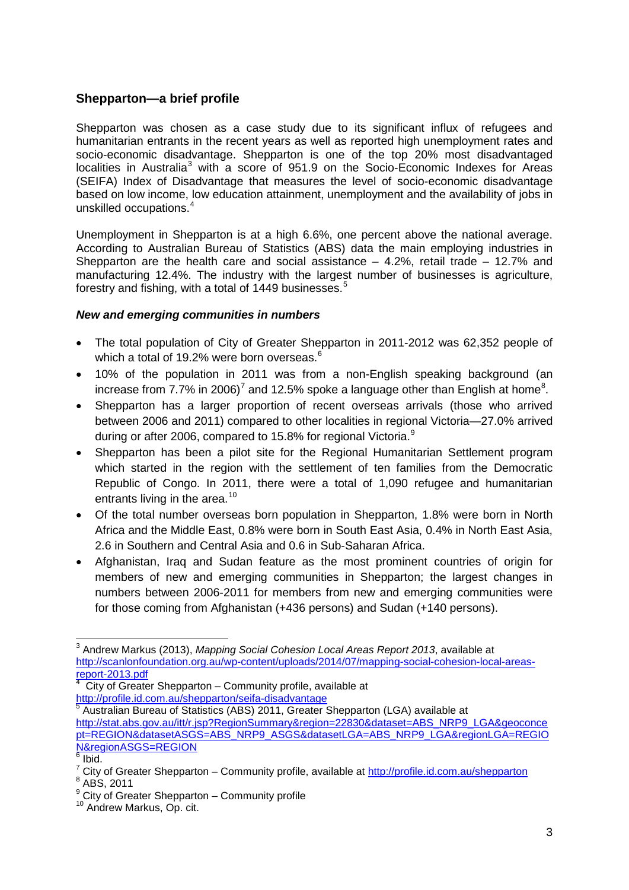# **Shepparton—a brief profile**

Shepparton was chosen as a case study due to its significant influx of refugees and humanitarian entrants in the recent years as well as reported high unemployment rates and socio-economic disadvantage. Shepparton is one of the top 20% most disadvantaged localities in Australia<sup>[3](#page-2-0)</sup> with a score of 951.9 on the Socio-Economic Indexes for Areas (SEIFA) Index of Disadvantage that measures the level of socio-economic disadvantage based on low income, low education attainment, unemployment and the availability of jobs in unskilled occupations.[4](#page-2-1)

Unemployment in Shepparton is at a high 6.6%, one percent above the national average. According to Australian Bureau of Statistics (ABS) data the main employing industries in Shepparton are the health care and social assistance  $-$  4.2%, retail trade  $-$  12.7% and manufacturing 12.4%. The industry with the largest number of businesses is agriculture, forestry and fishing, with a total of 1449 businesses. $5$ 

### *New and emerging communities in numbers*

- The total population of City of Greater Shepparton in 2011-2012 was 62,352 people of which a total of 19.2% were born overseas.<sup>[6](#page-2-3)</sup>
- 10% of the population in 2011 was from a non-English speaking background (an increase from [7](#page-2-4).7% in 2006)<sup>7</sup> and 12.5% spoke a language other than English at home<sup>[8](#page-2-5)</sup>.
- Shepparton has a larger proportion of recent overseas arrivals (those who arrived between 2006 and 2011) compared to other localities in regional Victoria—27.0% arrived during or after 2006, compared to 15.8% for regional Victoria.<sup>[9](#page-2-6)</sup>
- Shepparton has been a pilot site for the Regional Humanitarian Settlement program which started in the region with the settlement of ten families from the Democratic Republic of Congo. In 2011, there were a total of 1,090 refugee and humanitarian entrants living in the area.<sup>[10](#page-2-7)</sup>
- Of the total number overseas born population in Shepparton, 1.8% were born in North Africa and the Middle East, 0.8% were born in South East Asia, 0.4% in North East Asia, 2.6 in Southern and Central Asia and 0.6 in Sub-Saharan Africa.
- Afghanistan, Iraq and Sudan feature as the most prominent countries of origin for members of new and emerging communities in Shepparton; the largest changes in numbers between 2006-2011 for members from new and emerging communities were for those coming from Afghanistan (+436 persons) and Sudan (+140 persons).

<span id="page-2-0"></span> <sup>3</sup> Andrew Markus (2013), *Mapping Social Cohesion Local Areas Report 2013*, available at [http://scanlonfoundation.org.au/wp-content/uploads/2014/07/mapping-social-cohesion-local-areas-](http://scanlonfoundation.org.au/wp-content/uploads/2014/07/mapping-social-cohesion-local-areas-report-2013.pdf)

<span id="page-2-1"></span>report-2013.pdf<br>
<sup>4</sup> City of Greater Shepparton – Community profile, available, the example of the state of the state of the state of the state of the state of the state of the state of the state of the state of the state City of Greater Shepparton – Community profile, available at

<span id="page-2-2"></span>Australian Bureau of Statistics (ABS) 2011, Greater Shepparton (LGA) available at [http://stat.abs.gov.au/itt/r.jsp?RegionSummary&region=22830&dataset=ABS\\_NRP9\\_LGA&geoconce](http://stat.abs.gov.au/itt/r.jsp?RegionSummary®ion=22830&dataset=ABS_NRP9_LGA&geoconcept=REGION&datasetASGS=ABS_NRP9_ASGS&datasetLGA=ABS_NRP9_LGA®ionLGA=REGION®ionASGS=REGION) [pt=REGION&datasetASGS=ABS\\_NRP9\\_ASGS&datasetLGA=ABS\\_NRP9\\_LGA&regionLGA=REGIO](http://stat.abs.gov.au/itt/r.jsp?RegionSummary®ion=22830&dataset=ABS_NRP9_LGA&geoconcept=REGION&datasetASGS=ABS_NRP9_ASGS&datasetLGA=ABS_NRP9_LGA®ionLGA=REGION®ionASGS=REGION) [N&regionASGS=REGION](http://stat.abs.gov.au/itt/r.jsp?RegionSummary®ion=22830&dataset=ABS_NRP9_LGA&geoconcept=REGION&datasetASGS=ABS_NRP9_ASGS&datasetLGA=ABS_NRP9_LGA®ionLGA=REGION®ionASGS=REGION)

<span id="page-2-3"></span> $6$  Ibid.

<span id="page-2-4"></span><sup>7</sup> City of Greater Shepparton – Community profile, available at<http://profile.id.com.au/shepparton> 8 ABS. 2011

<span id="page-2-7"></span><span id="page-2-6"></span><span id="page-2-5"></span> $9^9$  City of Greater Shepparton – Community profile  $10^9$  Andrew Markus, Op. cit.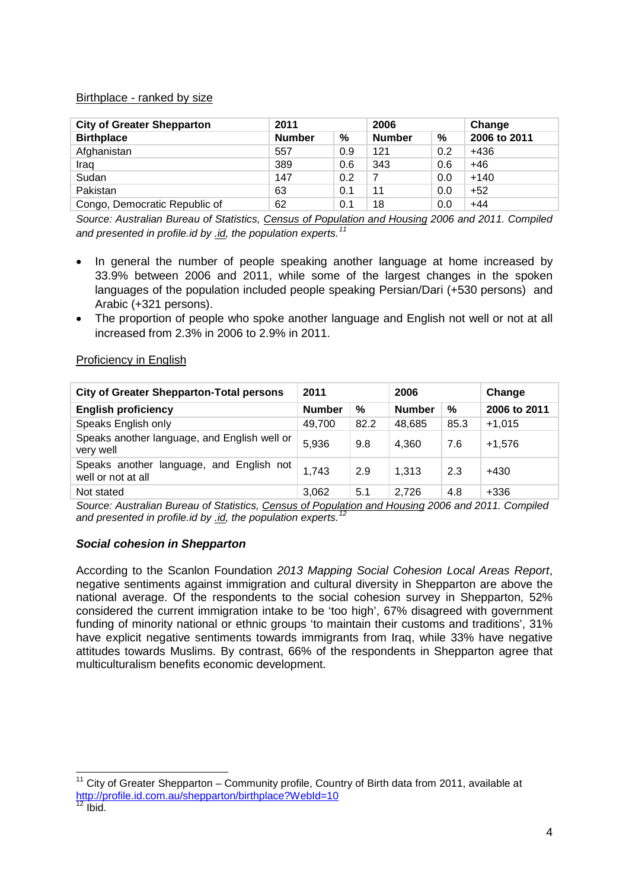### Birthplace - ranked by size

| <b>City of Greater Shepparton</b> | 2011          |     | 2006          |     | Change       |  |
|-----------------------------------|---------------|-----|---------------|-----|--------------|--|
| <b>Birthplace</b>                 | <b>Number</b> | %   | <b>Number</b> | %   | 2006 to 2011 |  |
| Afghanistan                       | 557           | 0.9 | 121           | 0.2 | +436         |  |
| Iraq                              | 389           | 0.6 | 343           | 0.6 | +46          |  |
| Sudan                             | 147           | 0.2 |               | 0.0 | $+140$       |  |
| Pakistan                          | 63            | 0.1 | 11            | 0.0 | $+52$        |  |
| Congo, Democratic Republic of     | 62            | 0.1 | 18            | 0.0 | $+44$        |  |

*Source: Australian Bureau of Statistics, [Census of Population and Housing](http://www.abs.gov.au/census) 2006 and 2011. Compiled and presented in profile.id by [.id,](http://home.id.com.au/about-us/) the population experts.[11](#page-3-0)*

- In general the number of people speaking another language at home increased by 33.9% between 2006 and 2011, while some of the largest changes in the spoken languages of the population included people speaking Persian/Dari (+530 persons) and Arabic (+321 persons).
- The proportion of people who spoke another language and English not well or not at all increased from 2.3% in 2006 to 2.9% in 2011.

| <b>City of Greater Shepparton-Total persons</b>                | 2011          |      | 2006          |      | Change       |  |
|----------------------------------------------------------------|---------------|------|---------------|------|--------------|--|
| <b>English proficiency</b>                                     | <b>Number</b> | %    | <b>Number</b> | %    | 2006 to 2011 |  |
| Speaks English only                                            | 49,700        | 82.2 | 48,685        | 85.3 | $+1,015$     |  |
| Speaks another language, and English well or<br>very well      | 5,936         | 9.8  | 4,360         | 7.6  | $+1,576$     |  |
| Speaks another language, and English not<br>well or not at all | 1,743         | 2.9  | 1,313         | 2.3  | +430         |  |
| Not stated<br>.                                                | 3,062         | 5.1  | 2,726<br>.    | 4.8  | $+336$       |  |

### Proficiency in English

*Source: Australian Bureau of Statistics, [Census of Population and Housing](http://www.abs.gov.au/census) 2006 and 2011. Compiled and presented in profile.id by [.id,](http://home.id.com.au/about-us/) the population experts.[12](#page-3-1)*

### *Social cohesion in Shepparton*

According to the Scanlon Foundation *2013 Mapping Social Cohesion Local Areas Report*, negative sentiments against immigration and cultural diversity in Shepparton are above the national average. Of the respondents to the social cohesion survey in Shepparton, 52% considered the current immigration intake to be 'too high', 67% disagreed with government funding of minority national or ethnic groups 'to maintain their customs and traditions', 31% have explicit negative sentiments towards immigrants from Iraq, while 33% have negative attitudes towards Muslims. By contrast, 66% of the respondents in Shepparton agree that multiculturalism benefits economic development.

<span id="page-3-0"></span> $11$  City of Greater Shepparton – Community profile, Country of Birth data from 2011, available at <http://profile.id.com.au/shepparton/birthplace?WebId=10><br><sup>12</sup> Ibid.

<span id="page-3-1"></span>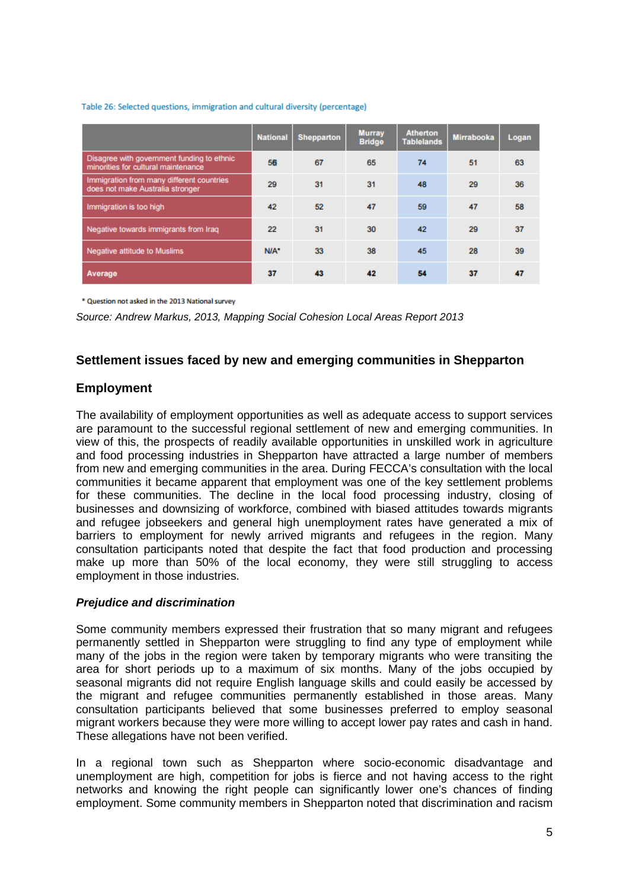#### Table 26: Selected questions, immigration and cultural diversity (percentage)

|                                                                                   | <b>National</b> | Shepparton | <b>Murray</b><br><b>Bridge</b> | <b>Atherton</b><br><b>Tablelands</b> | <b>Mirrabooka</b> | Logan |
|-----------------------------------------------------------------------------------|-----------------|------------|--------------------------------|--------------------------------------|-------------------|-------|
| Disagree with government funding to ethnic<br>minorities for cultural maintenance | 56              | 67         | 65                             | 74                                   | 51                | 63    |
| Immigration from many different countries<br>does not make Australia stronger     | 29              | 31         | 31                             | 48                                   | 29                | 36    |
| Immigration is too high                                                           | 42              | 52         | 47                             | 59                                   | 47                | 58    |
| Negative towards immigrants from Iraq                                             | 22              | 31         | 30                             | 42                                   | 29                | 37    |
| Negative attitude to Muslims                                                      | N/A*            | 33         | 38                             | 45                                   | 28                | 39    |
| Average                                                                           | 37              | 43         | 42                             | 54                                   | 37                | 47    |

\* Question not asked in the 2013 National survey

*Source: Andrew Markus, 2013, Mapping Social Cohesion Local Areas Report 2013*

# **Settlement issues faced by new and emerging communities in Shepparton**

# **Employment**

The availability of employment opportunities as well as adequate access to support services are paramount to the successful regional settlement of new and emerging communities. In view of this, the prospects of readily available opportunities in unskilled work in agriculture and food processing industries in Shepparton have attracted a large number of members from new and emerging communities in the area. During FECCA's consultation with the local communities it became apparent that employment was one of the key settlement problems for these communities. The decline in the local food processing industry, closing of businesses and downsizing of workforce, combined with biased attitudes towards migrants and refugee jobseekers and general high unemployment rates have generated a mix of barriers to employment for newly arrived migrants and refugees in the region. Many consultation participants noted that despite the fact that food production and processing make up more than 50% of the local economy, they were still struggling to access employment in those industries.

### *Prejudice and discrimination*

Some community members expressed their frustration that so many migrant and refugees permanently settled in Shepparton were struggling to find any type of employment while many of the jobs in the region were taken by temporary migrants who were transiting the area for short periods up to a maximum of six months. Many of the jobs occupied by seasonal migrants did not require English language skills and could easily be accessed by the migrant and refugee communities permanently established in those areas. Many consultation participants believed that some businesses preferred to employ seasonal migrant workers because they were more willing to accept lower pay rates and cash in hand. These allegations have not been verified.

In a regional town such as Shepparton where socio-economic disadvantage and unemployment are high, competition for jobs is fierce and not having access to the right networks and knowing the right people can significantly lower one's chances of finding employment. Some community members in Shepparton noted that discrimination and racism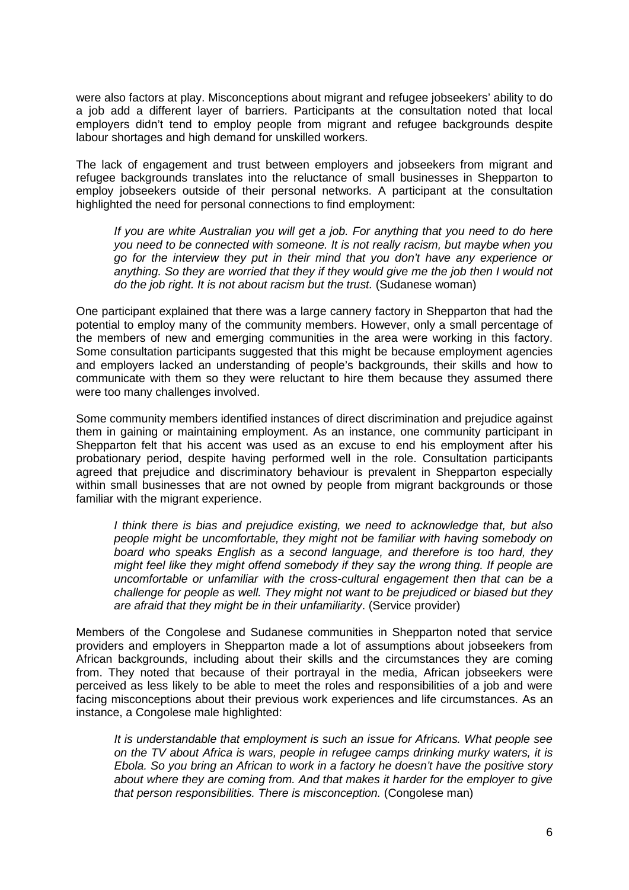were also factors at play. Misconceptions about migrant and refugee jobseekers' ability to do a job add a different layer of barriers. Participants at the consultation noted that local employers didn't tend to employ people from migrant and refugee backgrounds despite labour shortages and high demand for unskilled workers.

The lack of engagement and trust between employers and jobseekers from migrant and refugee backgrounds translates into the reluctance of small businesses in Shepparton to employ jobseekers outside of their personal networks. A participant at the consultation highlighted the need for personal connections to find employment:

*If you are white Australian you will get a job. For anything that you need to do here you need to be connected with someone. It is not really racism, but maybe when you go for the interview they put in their mind that you don't have any experience or anything. So they are worried that they if they would give me the job then I would not do the job right. It is not about racism but the trust.* (Sudanese woman)

One participant explained that there was a large cannery factory in Shepparton that had the potential to employ many of the community members. However, only a small percentage of the members of new and emerging communities in the area were working in this factory. Some consultation participants suggested that this might be because employment agencies and employers lacked an understanding of people's backgrounds, their skills and how to communicate with them so they were reluctant to hire them because they assumed there were too many challenges involved.

Some community members identified instances of direct discrimination and prejudice against them in gaining or maintaining employment. As an instance, one community participant in Shepparton felt that his accent was used as an excuse to end his employment after his probationary period, despite having performed well in the role. Consultation participants agreed that prejudice and discriminatory behaviour is prevalent in Shepparton especially within small businesses that are not owned by people from migrant backgrounds or those familiar with the migrant experience.

*I think there is bias and prejudice existing, we need to acknowledge that, but also people might be uncomfortable, they might not be familiar with having somebody on board who speaks English as a second language, and therefore is too hard, they might feel like they might offend somebody if they say the wrong thing. If people are uncomfortable or unfamiliar with the cross-cultural engagement then that can be a challenge for people as well. They might not want to be prejudiced or biased but they are afraid that they might be in their unfamiliarity*. (Service provider)

Members of the Congolese and Sudanese communities in Shepparton noted that service providers and employers in Shepparton made a lot of assumptions about jobseekers from African backgrounds, including about their skills and the circumstances they are coming from. They noted that because of their portrayal in the media, African jobseekers were perceived as less likely to be able to meet the roles and responsibilities of a job and were facing misconceptions about their previous work experiences and life circumstances. As an instance, a Congolese male highlighted:

*It is understandable that employment is such an issue for Africans. What people see on the TV about Africa is wars, people in refugee camps drinking murky waters, it is Ebola. So you bring an African to work in a factory he doesn't have the positive story about where they are coming from. And that makes it harder for the employer to give that person responsibilities. There is misconception.* (Congolese man)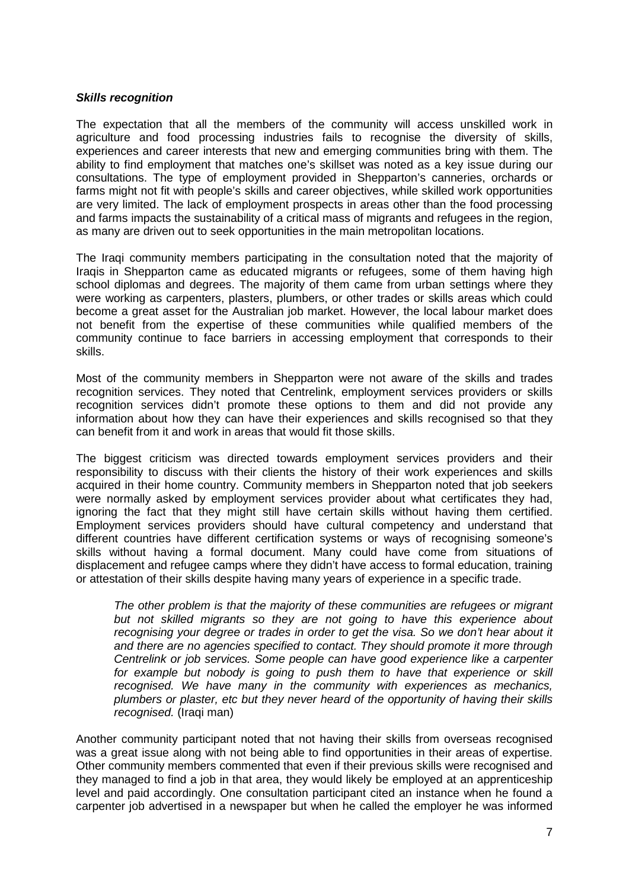#### *Skills recognition*

The expectation that all the members of the community will access unskilled work in agriculture and food processing industries fails to recognise the diversity of skills, experiences and career interests that new and emerging communities bring with them. The ability to find employment that matches one's skillset was noted as a key issue during our consultations. The type of employment provided in Shepparton's canneries, orchards or farms might not fit with people's skills and career objectives, while skilled work opportunities are very limited. The lack of employment prospects in areas other than the food processing and farms impacts the sustainability of a critical mass of migrants and refugees in the region, as many are driven out to seek opportunities in the main metropolitan locations.

The Iraqi community members participating in the consultation noted that the majority of Iraqis in Shepparton came as educated migrants or refugees, some of them having high school diplomas and degrees. The majority of them came from urban settings where they were working as carpenters, plasters, plumbers, or other trades or skills areas which could become a great asset for the Australian job market. However, the local labour market does not benefit from the expertise of these communities while qualified members of the community continue to face barriers in accessing employment that corresponds to their skills.

Most of the community members in Shepparton were not aware of the skills and trades recognition services. They noted that Centrelink, employment services providers or skills recognition services didn't promote these options to them and did not provide any information about how they can have their experiences and skills recognised so that they can benefit from it and work in areas that would fit those skills.

The biggest criticism was directed towards employment services providers and their responsibility to discuss with their clients the history of their work experiences and skills acquired in their home country. Community members in Shepparton noted that job seekers were normally asked by employment services provider about what certificates they had, ignoring the fact that they might still have certain skills without having them certified. Employment services providers should have cultural competency and understand that different countries have different certification systems or ways of recognising someone's skills without having a formal document. Many could have come from situations of displacement and refugee camps where they didn't have access to formal education, training or attestation of their skills despite having many years of experience in a specific trade.

*The other problem is that the majority of these communities are refugees or migrant but not skilled migrants so they are not going to have this experience about recognising your degree or trades in order to get the visa. So we don't hear about it and there are no agencies specified to contact. They should promote it more through Centrelink or job services. Some people can have good experience like a carpenter for example but nobody is going to push them to have that experience or skill recognised. We have many in the community with experiences as mechanics, plumbers or plaster, etc but they never heard of the opportunity of having their skills recognised.* (Iraqi man)

Another community participant noted that not having their skills from overseas recognised was a great issue along with not being able to find opportunities in their areas of expertise. Other community members commented that even if their previous skills were recognised and they managed to find a job in that area, they would likely be employed at an apprenticeship level and paid accordingly. One consultation participant cited an instance when he found a carpenter job advertised in a newspaper but when he called the employer he was informed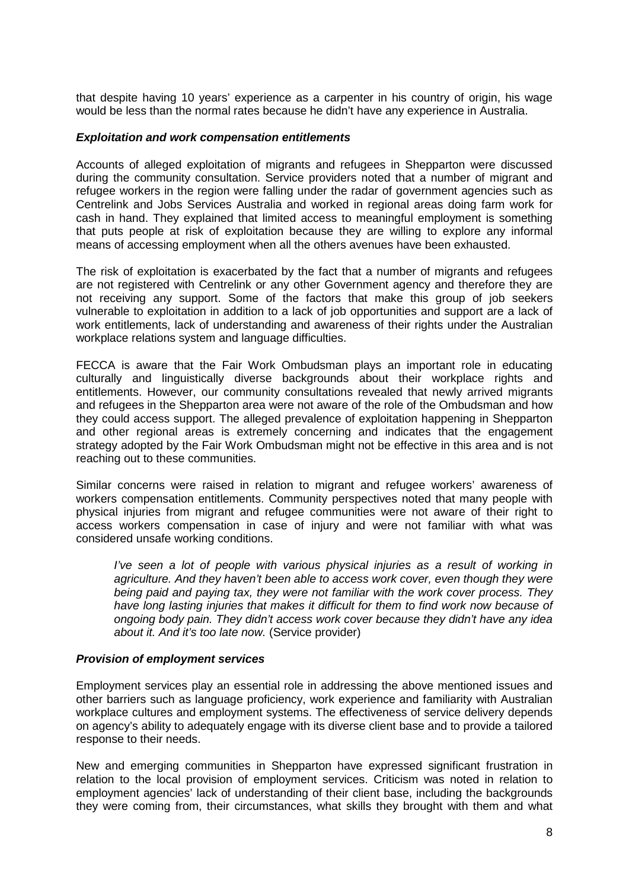that despite having 10 years' experience as a carpenter in his country of origin, his wage would be less than the normal rates because he didn't have any experience in Australia.

#### *Exploitation and work compensation entitlements*

Accounts of alleged exploitation of migrants and refugees in Shepparton were discussed during the community consultation. Service providers noted that a number of migrant and refugee workers in the region were falling under the radar of government agencies such as Centrelink and Jobs Services Australia and worked in regional areas doing farm work for cash in hand. They explained that limited access to meaningful employment is something that puts people at risk of exploitation because they are willing to explore any informal means of accessing employment when all the others avenues have been exhausted.

The risk of exploitation is exacerbated by the fact that a number of migrants and refugees are not registered with Centrelink or any other Government agency and therefore they are not receiving any support. Some of the factors that make this group of job seekers vulnerable to exploitation in addition to a lack of job opportunities and support are a lack of work entitlements, lack of understanding and awareness of their rights under the Australian workplace relations system and language difficulties.

FECCA is aware that the Fair Work Ombudsman plays an important role in educating culturally and linguistically diverse backgrounds about their workplace rights and entitlements. However, our community consultations revealed that newly arrived migrants and refugees in the Shepparton area were not aware of the role of the Ombudsman and how they could access support. The alleged prevalence of exploitation happening in Shepparton and other regional areas is extremely concerning and indicates that the engagement strategy adopted by the Fair Work Ombudsman might not be effective in this area and is not reaching out to these communities.

Similar concerns were raised in relation to migrant and refugee workers' awareness of workers compensation entitlements. Community perspectives noted that many people with physical injuries from migrant and refugee communities were not aware of their right to access workers compensation in case of injury and were not familiar with what was considered unsafe working conditions.

*I've seen a lot of people with various physical injuries as a result of working in agriculture. And they haven't been able to access work cover, even though they were being paid and paying tax, they were not familiar with the work cover process. They have long lasting injuries that makes it difficult for them to find work now because of ongoing body pain. They didn't access work cover because they didn't have any idea about it. And it's too late now.* (Service provider)

### *Provision of employment services*

Employment services play an essential role in addressing the above mentioned issues and other barriers such as language proficiency, work experience and familiarity with Australian workplace cultures and employment systems. The effectiveness of service delivery depends on agency's ability to adequately engage with its diverse client base and to provide a tailored response to their needs.

New and emerging communities in Shepparton have expressed significant frustration in relation to the local provision of employment services. Criticism was noted in relation to employment agencies' lack of understanding of their client base, including the backgrounds they were coming from, their circumstances, what skills they brought with them and what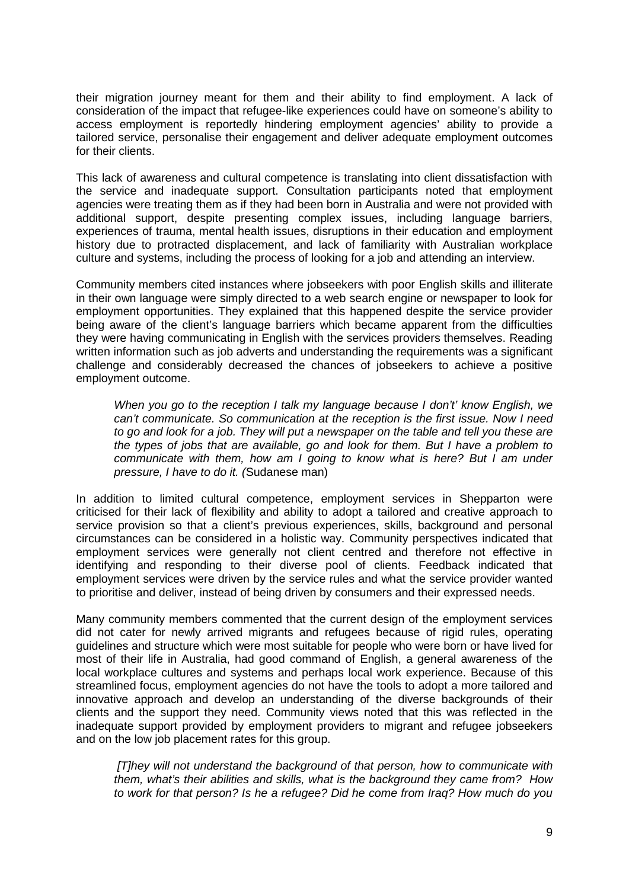their migration journey meant for them and their ability to find employment. A lack of consideration of the impact that refugee-like experiences could have on someone's ability to access employment is reportedly hindering employment agencies' ability to provide a tailored service, personalise their engagement and deliver adequate employment outcomes for their clients.

This lack of awareness and cultural competence is translating into client dissatisfaction with the service and inadequate support. Consultation participants noted that employment agencies were treating them as if they had been born in Australia and were not provided with additional support, despite presenting complex issues, including language barriers, experiences of trauma, mental health issues, disruptions in their education and employment history due to protracted displacement, and lack of familiarity with Australian workplace culture and systems, including the process of looking for a job and attending an interview.

Community members cited instances where jobseekers with poor English skills and illiterate in their own language were simply directed to a web search engine or newspaper to look for employment opportunities. They explained that this happened despite the service provider being aware of the client's language barriers which became apparent from the difficulties they were having communicating in English with the services providers themselves. Reading written information such as job adverts and understanding the requirements was a significant challenge and considerably decreased the chances of jobseekers to achieve a positive employment outcome.

*When you go to the reception I talk my language because I don't' know English, we can't communicate. So communication at the reception is the first issue. Now I need to go and look for a job. They will put a newspaper on the table and tell you these are the types of jobs that are available, go and look for them. But I have a problem to communicate with them, how am I going to know what is here? But I am under pressure, I have to do it. (*Sudanese man)

In addition to limited cultural competence, employment services in Shepparton were criticised for their lack of flexibility and ability to adopt a tailored and creative approach to service provision so that a client's previous experiences, skills, background and personal circumstances can be considered in a holistic way. Community perspectives indicated that employment services were generally not client centred and therefore not effective in identifying and responding to their diverse pool of clients. Feedback indicated that employment services were driven by the service rules and what the service provider wanted to prioritise and deliver, instead of being driven by consumers and their expressed needs.

Many community members commented that the current design of the employment services did not cater for newly arrived migrants and refugees because of rigid rules, operating guidelines and structure which were most suitable for people who were born or have lived for most of their life in Australia, had good command of English, a general awareness of the local workplace cultures and systems and perhaps local work experience. Because of this streamlined focus, employment agencies do not have the tools to adopt a more tailored and innovative approach and develop an understanding of the diverse backgrounds of their clients and the support they need. Community views noted that this was reflected in the inadequate support provided by employment providers to migrant and refugee jobseekers and on the low job placement rates for this group.

*[T]hey will not understand the background of that person, how to communicate with them, what's their abilities and skills, what is the background they came from? How to work for that person? Is he a refugee? Did he come from Iraq? How much do you*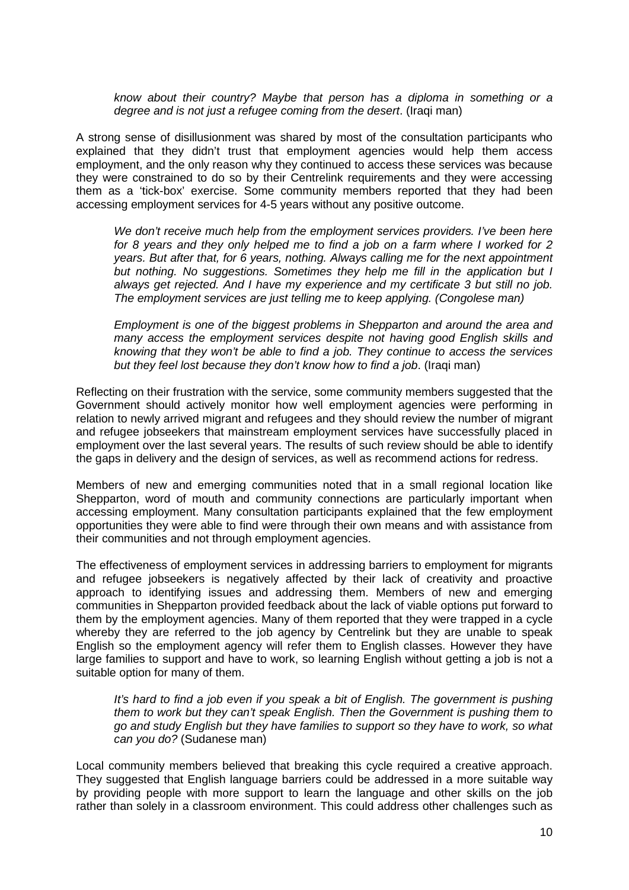*know about their country? Maybe that person has a diploma in something or a degree and is not just a refugee coming from the desert*. (Iraqi man)

A strong sense of disillusionment was shared by most of the consultation participants who explained that they didn't trust that employment agencies would help them access employment, and the only reason why they continued to access these services was because they were constrained to do so by their Centrelink requirements and they were accessing them as a 'tick-box' exercise. Some community members reported that they had been accessing employment services for 4-5 years without any positive outcome.

*We don't receive much help from the employment services providers. I've been here*  for 8 years and they only helped me to find a job on a farm where I worked for 2 *years. But after that, for 6 years, nothing. Always calling me for the next appointment but nothing. No suggestions. Sometimes they help me fill in the application but I always get rejected. And I have my experience and my certificate 3 but still no job. The employment services are just telling me to keep applying. (Congolese man)*

*Employment is one of the biggest problems in Shepparton and around the area and many access the employment services despite not having good English skills and knowing that they won't be able to find a job. They continue to access the services but they feel lost because they don't know how to find a job*. (Iraqi man)

Reflecting on their frustration with the service, some community members suggested that the Government should actively monitor how well employment agencies were performing in relation to newly arrived migrant and refugees and they should review the number of migrant and refugee jobseekers that mainstream employment services have successfully placed in employment over the last several years. The results of such review should be able to identify the gaps in delivery and the design of services, as well as recommend actions for redress.

Members of new and emerging communities noted that in a small regional location like Shepparton, word of mouth and community connections are particularly important when accessing employment. Many consultation participants explained that the few employment opportunities they were able to find were through their own means and with assistance from their communities and not through employment agencies.

The effectiveness of employment services in addressing barriers to employment for migrants and refugee jobseekers is negatively affected by their lack of creativity and proactive approach to identifying issues and addressing them. Members of new and emerging communities in Shepparton provided feedback about the lack of viable options put forward to them by the employment agencies. Many of them reported that they were trapped in a cycle whereby they are referred to the job agency by Centrelink but they are unable to speak English so the employment agency will refer them to English classes. However they have large families to support and have to work, so learning English without getting a job is not a suitable option for many of them.

*It's hard to find a job even if you speak a bit of English. The government is pushing them to work but they can't speak English. Then the Government is pushing them to go and study English but they have families to support so they have to work, so what can you do?* (Sudanese man)

Local community members believed that breaking this cycle required a creative approach. They suggested that English language barriers could be addressed in a more suitable way by providing people with more support to learn the language and other skills on the job rather than solely in a classroom environment. This could address other challenges such as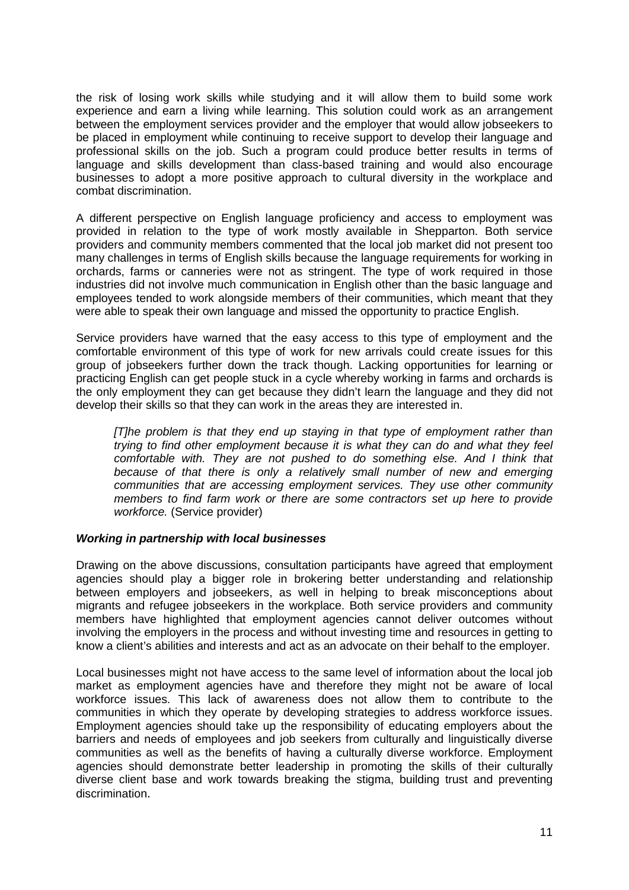the risk of losing work skills while studying and it will allow them to build some work experience and earn a living while learning. This solution could work as an arrangement between the employment services provider and the employer that would allow jobseekers to be placed in employment while continuing to receive support to develop their language and professional skills on the job. Such a program could produce better results in terms of language and skills development than class-based training and would also encourage businesses to adopt a more positive approach to cultural diversity in the workplace and combat discrimination.

A different perspective on English language proficiency and access to employment was provided in relation to the type of work mostly available in Shepparton. Both service providers and community members commented that the local job market did not present too many challenges in terms of English skills because the language requirements for working in orchards, farms or canneries were not as stringent. The type of work required in those industries did not involve much communication in English other than the basic language and employees tended to work alongside members of their communities, which meant that they were able to speak their own language and missed the opportunity to practice English.

Service providers have warned that the easy access to this type of employment and the comfortable environment of this type of work for new arrivals could create issues for this group of jobseekers further down the track though. Lacking opportunities for learning or practicing English can get people stuck in a cycle whereby working in farms and orchards is the only employment they can get because they didn't learn the language and they did not develop their skills so that they can work in the areas they are interested in.

*[T]he problem is that they end up staying in that type of employment rather than trying to find other employment because it is what they can do and what they feel comfortable with. They are not pushed to do something else. And I think that because of that there is only a relatively small number of new and emerging communities that are accessing employment services. They use other community members to find farm work or there are some contractors set up here to provide workforce.* (Service provider)

### *Working in partnership with local businesses*

Drawing on the above discussions, consultation participants have agreed that employment agencies should play a bigger role in brokering better understanding and relationship between employers and jobseekers, as well in helping to break misconceptions about migrants and refugee jobseekers in the workplace. Both service providers and community members have highlighted that employment agencies cannot deliver outcomes without involving the employers in the process and without investing time and resources in getting to know a client's abilities and interests and act as an advocate on their behalf to the employer.

Local businesses might not have access to the same level of information about the local job market as employment agencies have and therefore they might not be aware of local workforce issues. This lack of awareness does not allow them to contribute to the communities in which they operate by developing strategies to address workforce issues. Employment agencies should take up the responsibility of educating employers about the barriers and needs of employees and job seekers from culturally and linguistically diverse communities as well as the benefits of having a culturally diverse workforce. Employment agencies should demonstrate better leadership in promoting the skills of their culturally diverse client base and work towards breaking the stigma, building trust and preventing discrimination.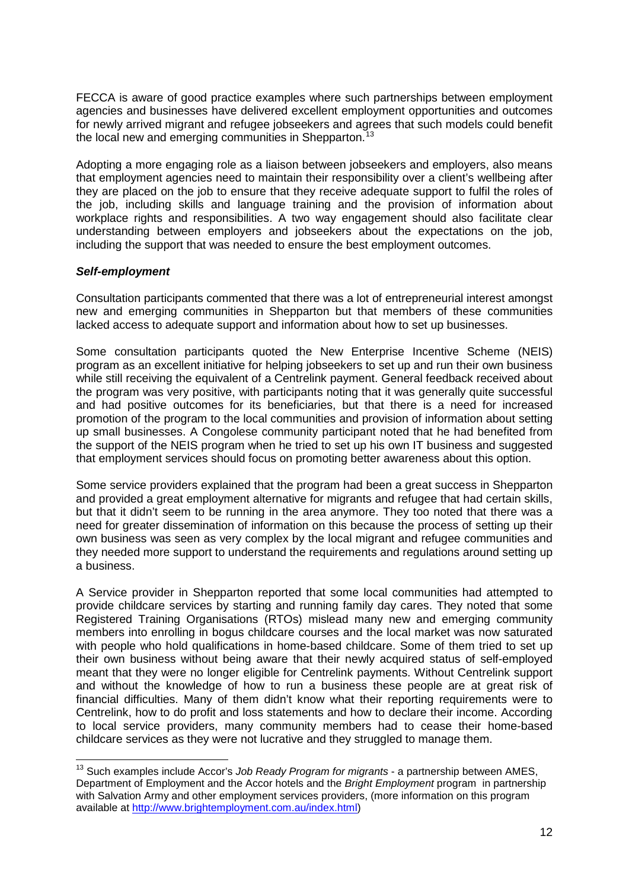FECCA is aware of good practice examples where such partnerships between employment agencies and businesses have delivered excellent employment opportunities and outcomes for newly arrived migrant and refugee jobseekers and agrees that such models could benefit the local new and emerging communities in Shepparton.<sup>[13](#page-11-0)</sup>

Adopting a more engaging role as a liaison between jobseekers and employers, also means that employment agencies need to maintain their responsibility over a client's wellbeing after they are placed on the job to ensure that they receive adequate support to fulfil the roles of the job, including skills and language training and the provision of information about workplace rights and responsibilities. A two way engagement should also facilitate clear understanding between employers and jobseekers about the expectations on the job, including the support that was needed to ensure the best employment outcomes.

### *Self-employment*

Consultation participants commented that there was a lot of entrepreneurial interest amongst new and emerging communities in Shepparton but that members of these communities lacked access to adequate support and information about how to set up businesses.

Some consultation participants quoted the New Enterprise Incentive Scheme (NEIS) program as an excellent initiative for helping jobseekers to set up and run their own business while still receiving the equivalent of a Centrelink payment. General feedback received about the program was very positive, with participants noting that it was generally quite successful and had positive outcomes for its beneficiaries, but that there is a need for increased promotion of the program to the local communities and provision of information about setting up small businesses. A Congolese community participant noted that he had benefited from the support of the NEIS program when he tried to set up his own IT business and suggested that employment services should focus on promoting better awareness about this option.

Some service providers explained that the program had been a great success in Shepparton and provided a great employment alternative for migrants and refugee that had certain skills, but that it didn't seem to be running in the area anymore. They too noted that there was a need for greater dissemination of information on this because the process of setting up their own business was seen as very complex by the local migrant and refugee communities and they needed more support to understand the requirements and regulations around setting up a business.

A Service provider in Shepparton reported that some local communities had attempted to provide childcare services by starting and running family day cares. They noted that some Registered Training Organisations (RTOs) mislead many new and emerging community members into enrolling in bogus childcare courses and the local market was now saturated with people who hold qualifications in home-based childcare. Some of them tried to set up their own business without being aware that their newly acquired status of self-employed meant that they were no longer eligible for Centrelink payments. Without Centrelink support and without the knowledge of how to run a business these people are at great risk of financial difficulties. Many of them didn't know what their reporting requirements were to Centrelink, how to do profit and loss statements and how to declare their income. According to local service providers, many community members had to cease their home-based childcare services as they were not lucrative and they struggled to manage them.

<span id="page-11-0"></span> <sup>13</sup> Such examples include Accor's *Job Ready Program for migrants* - a partnership between AMES, Department of Employment and the Accor hotels and the *Bright Employment* program in partnership with Salvation Army and other employment services providers, (more information on this program available at [http://www.brightemployment.com.au/index.html\)](http://www.brightemployment.com.au/index.html)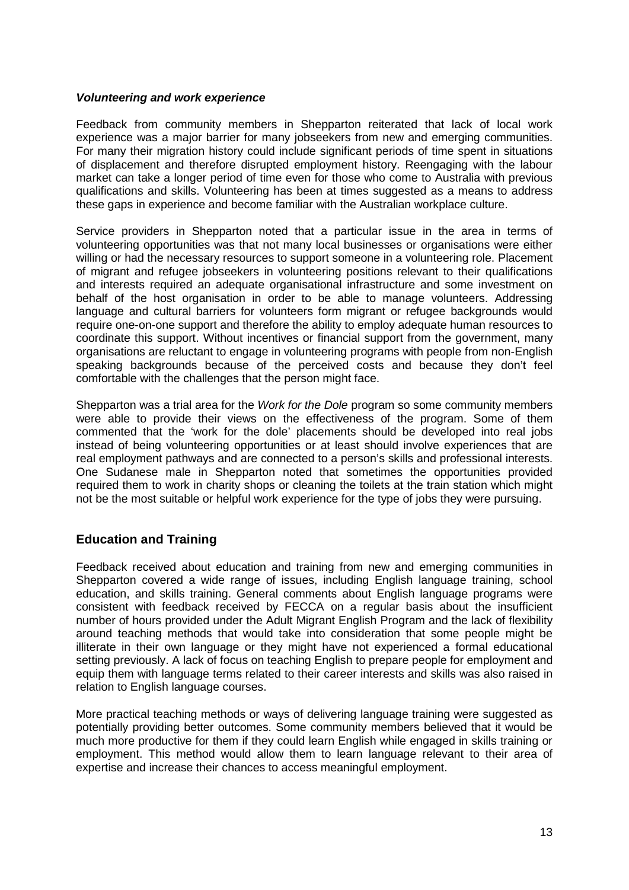### *Volunteering and work experience*

Feedback from community members in Shepparton reiterated that lack of local work experience was a major barrier for many jobseekers from new and emerging communities. For many their migration history could include significant periods of time spent in situations of displacement and therefore disrupted employment history. Reengaging with the labour market can take a longer period of time even for those who come to Australia with previous qualifications and skills. Volunteering has been at times suggested as a means to address these gaps in experience and become familiar with the Australian workplace culture.

Service providers in Shepparton noted that a particular issue in the area in terms of volunteering opportunities was that not many local businesses or organisations were either willing or had the necessary resources to support someone in a volunteering role. Placement of migrant and refugee jobseekers in volunteering positions relevant to their qualifications and interests required an adequate organisational infrastructure and some investment on behalf of the host organisation in order to be able to manage volunteers. Addressing language and cultural barriers for volunteers form migrant or refugee backgrounds would require one-on-one support and therefore the ability to employ adequate human resources to coordinate this support. Without incentives or financial support from the government, many organisations are reluctant to engage in volunteering programs with people from non-English speaking backgrounds because of the perceived costs and because they don't feel comfortable with the challenges that the person might face.

Shepparton was a trial area for the *Work for the Dole* program so some community members were able to provide their views on the effectiveness of the program. Some of them commented that the 'work for the dole' placements should be developed into real jobs instead of being volunteering opportunities or at least should involve experiences that are real employment pathways and are connected to a person's skills and professional interests. One Sudanese male in Shepparton noted that sometimes the opportunities provided required them to work in charity shops or cleaning the toilets at the train station which might not be the most suitable or helpful work experience for the type of jobs they were pursuing.

# **Education and Training**

Feedback received about education and training from new and emerging communities in Shepparton covered a wide range of issues, including English language training, school education, and skills training. General comments about English language programs were consistent with feedback received by FECCA on a regular basis about the insufficient number of hours provided under the Adult Migrant English Program and the lack of flexibility around teaching methods that would take into consideration that some people might be illiterate in their own language or they might have not experienced a formal educational setting previously. A lack of focus on teaching English to prepare people for employment and equip them with language terms related to their career interests and skills was also raised in relation to English language courses.

More practical teaching methods or ways of delivering language training were suggested as potentially providing better outcomes. Some community members believed that it would be much more productive for them if they could learn English while engaged in skills training or employment. This method would allow them to learn language relevant to their area of expertise and increase their chances to access meaningful employment.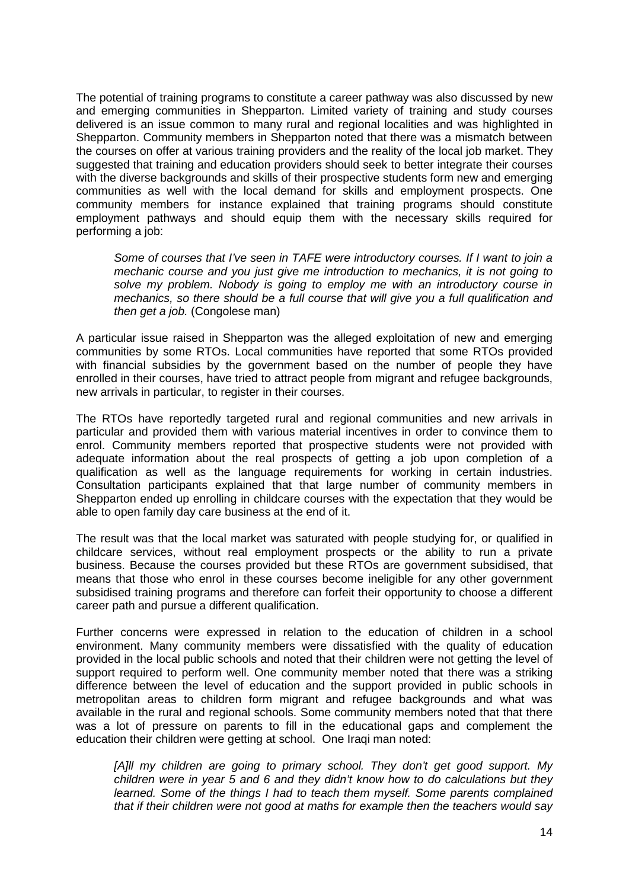The potential of training programs to constitute a career pathway was also discussed by new and emerging communities in Shepparton. Limited variety of training and study courses delivered is an issue common to many rural and regional localities and was highlighted in Shepparton. Community members in Shepparton noted that there was a mismatch between the courses on offer at various training providers and the reality of the local job market. They suggested that training and education providers should seek to better integrate their courses with the diverse backgrounds and skills of their prospective students form new and emerging communities as well with the local demand for skills and employment prospects. One community members for instance explained that training programs should constitute employment pathways and should equip them with the necessary skills required for performing a job:

*Some of courses that I've seen in TAFE were introductory courses. If I want to join a mechanic course and you just give me introduction to mechanics, it is not going to solve my problem. Nobody is going to employ me with an introductory course in mechanics, so there should be a full course that will give you a full qualification and then get a job.* (Congolese man)

A particular issue raised in Shepparton was the alleged exploitation of new and emerging communities by some RTOs. Local communities have reported that some RTOs provided with financial subsidies by the government based on the number of people they have enrolled in their courses, have tried to attract people from migrant and refugee backgrounds, new arrivals in particular, to register in their courses.

The RTOs have reportedly targeted rural and regional communities and new arrivals in particular and provided them with various material incentives in order to convince them to enrol. Community members reported that prospective students were not provided with adequate information about the real prospects of getting a job upon completion of a qualification as well as the language requirements for working in certain industries. Consultation participants explained that that large number of community members in Shepparton ended up enrolling in childcare courses with the expectation that they would be able to open family day care business at the end of it.

The result was that the local market was saturated with people studying for, or qualified in childcare services, without real employment prospects or the ability to run a private business. Because the courses provided but these RTOs are government subsidised, that means that those who enrol in these courses become ineligible for any other government subsidised training programs and therefore can forfeit their opportunity to choose a different career path and pursue a different qualification.

Further concerns were expressed in relation to the education of children in a school environment. Many community members were dissatisfied with the quality of education provided in the local public schools and noted that their children were not getting the level of support required to perform well. One community member noted that there was a striking difference between the level of education and the support provided in public schools in metropolitan areas to children form migrant and refugee backgrounds and what was available in the rural and regional schools. Some community members noted that that there was a lot of pressure on parents to fill in the educational gaps and complement the education their children were getting at school. One Iraqi man noted:

*[A]ll my children are going to primary school. They don't get good support. My children were in year 5 and 6 and they didn't know how to do calculations but they learned. Some of the things I had to teach them myself. Some parents complained that if their children were not good at maths for example then the teachers would say*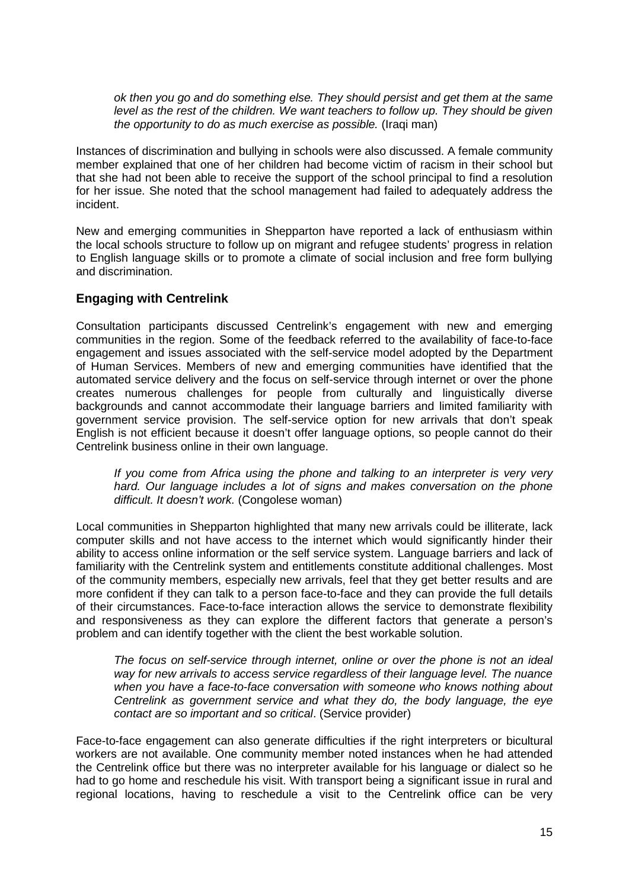*ok then you go and do something else. They should persist and get them at the same level as the rest of the children. We want teachers to follow up. They should be given the opportunity to do as much exercise as possible.* (Iraqi man)

Instances of discrimination and bullying in schools were also discussed. A female community member explained that one of her children had become victim of racism in their school but that she had not been able to receive the support of the school principal to find a resolution for her issue. She noted that the school management had failed to adequately address the incident.

New and emerging communities in Shepparton have reported a lack of enthusiasm within the local schools structure to follow up on migrant and refugee students' progress in relation to English language skills or to promote a climate of social inclusion and free form bullying and discrimination.

# **Engaging with Centrelink**

Consultation participants discussed Centrelink's engagement with new and emerging communities in the region. Some of the feedback referred to the availability of face-to-face engagement and issues associated with the self-service model adopted by the Department of Human Services. Members of new and emerging communities have identified that the automated service delivery and the focus on self-service through internet or over the phone creates numerous challenges for people from culturally and linguistically diverse backgrounds and cannot accommodate their language barriers and limited familiarity with government service provision. The self-service option for new arrivals that don't speak English is not efficient because it doesn't offer language options, so people cannot do their Centrelink business online in their own language.

*If you come from Africa using the phone and talking to an interpreter is very very hard. Our language includes a lot of signs and makes conversation on the phone difficult. It doesn't work.* (Congolese woman)

Local communities in Shepparton highlighted that many new arrivals could be illiterate, lack computer skills and not have access to the internet which would significantly hinder their ability to access online information or the self service system. Language barriers and lack of familiarity with the Centrelink system and entitlements constitute additional challenges. Most of the community members, especially new arrivals, feel that they get better results and are more confident if they can talk to a person face-to-face and they can provide the full details of their circumstances. Face-to-face interaction allows the service to demonstrate flexibility and responsiveness as they can explore the different factors that generate a person's problem and can identify together with the client the best workable solution.

*The focus on self-service through internet, online or over the phone is not an ideal way for new arrivals to access service regardless of their language level. The nuance when you have a face-to-face conversation with someone who knows nothing about Centrelink as government service and what they do, the body language, the eye contact are so important and so critical*. (Service provider)

Face-to-face engagement can also generate difficulties if the right interpreters or bicultural workers are not available. One community member noted instances when he had attended the Centrelink office but there was no interpreter available for his language or dialect so he had to go home and reschedule his visit. With transport being a significant issue in rural and regional locations, having to reschedule a visit to the Centrelink office can be very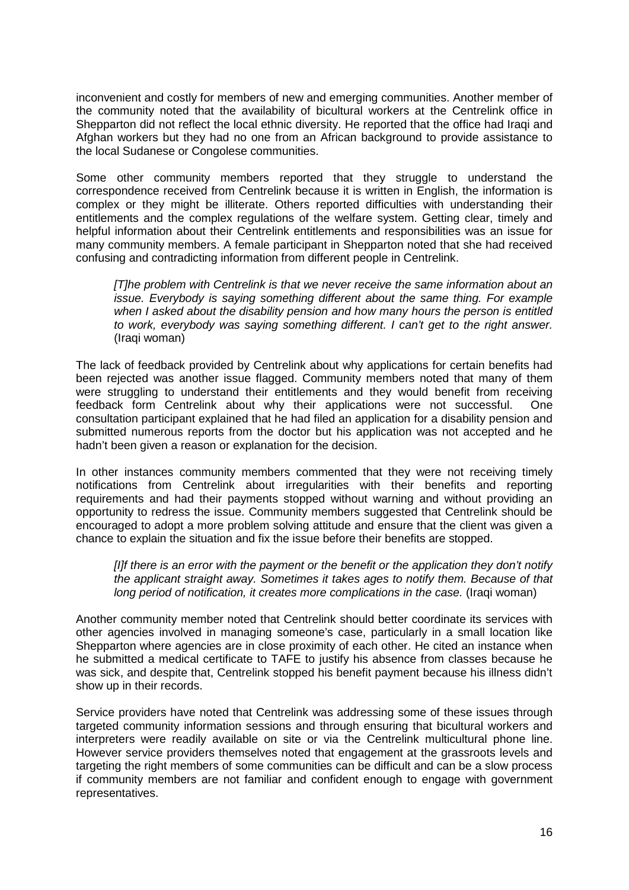inconvenient and costly for members of new and emerging communities. Another member of the community noted that the availability of bicultural workers at the Centrelink office in Shepparton did not reflect the local ethnic diversity. He reported that the office had Iraqi and Afghan workers but they had no one from an African background to provide assistance to the local Sudanese or Congolese communities.

Some other community members reported that they struggle to understand the correspondence received from Centrelink because it is written in English, the information is complex or they might be illiterate. Others reported difficulties with understanding their entitlements and the complex regulations of the welfare system. Getting clear, timely and helpful information about their Centrelink entitlements and responsibilities was an issue for many community members. A female participant in Shepparton noted that she had received confusing and contradicting information from different people in Centrelink.

*[T]he problem with Centrelink is that we never receive the same information about an issue. Everybody is saying something different about the same thing. For example when I asked about the disability pension and how many hours the person is entitled to work, everybody was saying something different. I can't get to the right answer.* (Iraqi woman)

The lack of feedback provided by Centrelink about why applications for certain benefits had been rejected was another issue flagged. Community members noted that many of them were struggling to understand their entitlements and they would benefit from receiving feedback form Centrelink about why their applications were not successful. One consultation participant explained that he had filed an application for a disability pension and submitted numerous reports from the doctor but his application was not accepted and he hadn't been given a reason or explanation for the decision.

In other instances community members commented that they were not receiving timely notifications from Centrelink about irregularities with their benefits and reporting requirements and had their payments stopped without warning and without providing an opportunity to redress the issue. Community members suggested that Centrelink should be encouraged to adopt a more problem solving attitude and ensure that the client was given a chance to explain the situation and fix the issue before their benefits are stopped.

*[I]f there is an error with the payment or the benefit or the application they don't notify the applicant straight away. Sometimes it takes ages to notify them. Because of that long period of notification, it creates more complications in the case.* (Iraqi woman)

Another community member noted that Centrelink should better coordinate its services with other agencies involved in managing someone's case, particularly in a small location like Shepparton where agencies are in close proximity of each other. He cited an instance when he submitted a medical certificate to TAFE to justify his absence from classes because he was sick, and despite that, Centrelink stopped his benefit payment because his illness didn't show up in their records.

Service providers have noted that Centrelink was addressing some of these issues through targeted community information sessions and through ensuring that bicultural workers and interpreters were readily available on site or via the Centrelink multicultural phone line. However service providers themselves noted that engagement at the grassroots levels and targeting the right members of some communities can be difficult and can be a slow process if community members are not familiar and confident enough to engage with government representatives.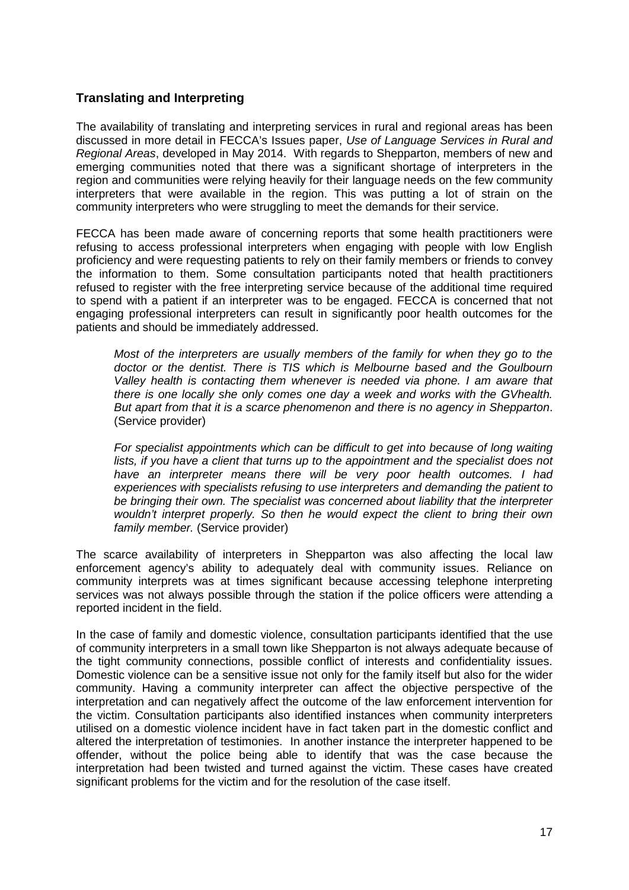# **Translating and Interpreting**

The availability of translating and interpreting services in rural and regional areas has been discussed in more detail in FECCA's Issues paper, *Use of Language Services in Rural and Regional Areas*, developed in May 2014. With regards to Shepparton, members of new and emerging communities noted that there was a significant shortage of interpreters in the region and communities were relying heavily for their language needs on the few community interpreters that were available in the region. This was putting a lot of strain on the community interpreters who were struggling to meet the demands for their service.

FECCA has been made aware of concerning reports that some health practitioners were refusing to access professional interpreters when engaging with people with low English proficiency and were requesting patients to rely on their family members or friends to convey the information to them. Some consultation participants noted that health practitioners refused to register with the free interpreting service because of the additional time required to spend with a patient if an interpreter was to be engaged. FECCA is concerned that not engaging professional interpreters can result in significantly poor health outcomes for the patients and should be immediately addressed.

*Most of the interpreters are usually members of the family for when they go to the doctor or the dentist. There is TIS which is Melbourne based and the Goulbourn Valley health is contacting them whenever is needed via phone. I am aware that there is one locally she only comes one day a week and works with the GVhealth. But apart from that it is a scarce phenomenon and there is no agency in Shepparton*. (Service provider)

*For specialist appointments which can be difficult to get into because of long waiting*  lists, if you have a client that turns up to the appointment and the specialist does not *have an interpreter means there will be very poor health outcomes. I had experiences with specialists refusing to use interpreters and demanding the patient to be bringing their own. The specialist was concerned about liability that the interpreter wouldn't interpret properly. So then he would expect the client to bring their own family member.* (Service provider)

The scarce availability of interpreters in Shepparton was also affecting the local law enforcement agency's ability to adequately deal with community issues. Reliance on community interprets was at times significant because accessing telephone interpreting services was not always possible through the station if the police officers were attending a reported incident in the field.

In the case of family and domestic violence, consultation participants identified that the use of community interpreters in a small town like Shepparton is not always adequate because of the tight community connections, possible conflict of interests and confidentiality issues. Domestic violence can be a sensitive issue not only for the family itself but also for the wider community. Having a community interpreter can affect the objective perspective of the interpretation and can negatively affect the outcome of the law enforcement intervention for the victim. Consultation participants also identified instances when community interpreters utilised on a domestic violence incident have in fact taken part in the domestic conflict and altered the interpretation of testimonies. In another instance the interpreter happened to be offender, without the police being able to identify that was the case because the interpretation had been twisted and turned against the victim. These cases have created significant problems for the victim and for the resolution of the case itself.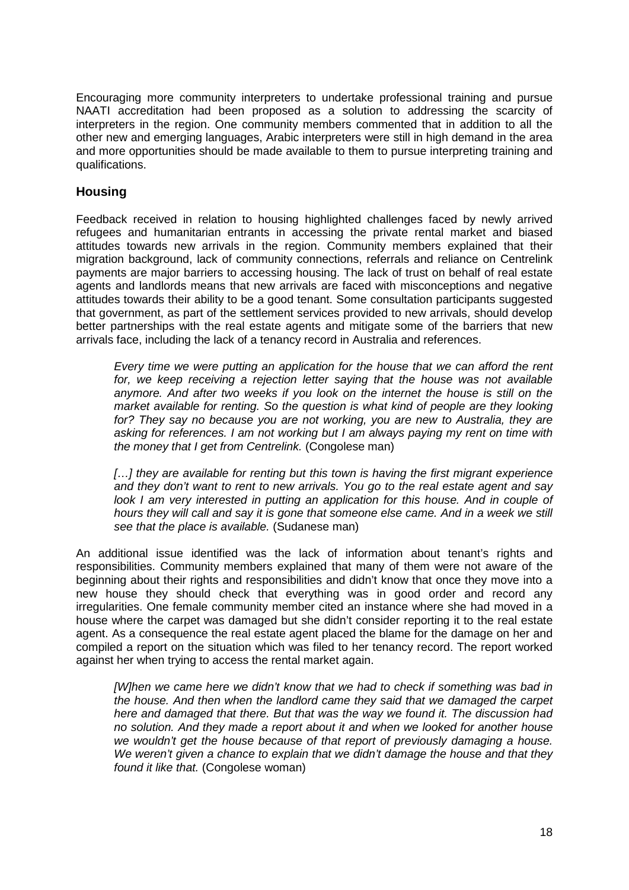Encouraging more community interpreters to undertake professional training and pursue NAATI accreditation had been proposed as a solution to addressing the scarcity of interpreters in the region. One community members commented that in addition to all the other new and emerging languages, Arabic interpreters were still in high demand in the area and more opportunities should be made available to them to pursue interpreting training and qualifications.

# **Housing**

Feedback received in relation to housing highlighted challenges faced by newly arrived refugees and humanitarian entrants in accessing the private rental market and biased attitudes towards new arrivals in the region. Community members explained that their migration background, lack of community connections, referrals and reliance on Centrelink payments are major barriers to accessing housing. The lack of trust on behalf of real estate agents and landlords means that new arrivals are faced with misconceptions and negative attitudes towards their ability to be a good tenant. Some consultation participants suggested that government, as part of the settlement services provided to new arrivals, should develop better partnerships with the real estate agents and mitigate some of the barriers that new arrivals face, including the lack of a tenancy record in Australia and references.

*Every time we were putting an application for the house that we can afford the rent for, we keep receiving a rejection letter saying that the house was not available anymore. And after two weeks if you look on the internet the house is still on the market available for renting. So the question is what kind of people are they looking for? They say no because you are not working, you are new to Australia, they are asking for references. I am not working but I am always paying my rent on time with the money that I get from Centrelink.* (Congolese man)

*[…] they are available for renting but this town is having the first migrant experience and they don't want to rent to new arrivals. You go to the real estate agent and say look I am very interested in putting an application for this house. And in couple of hours they will call and say it is gone that someone else came. And in a week we still see that the place is available.* (Sudanese man)

An additional issue identified was the lack of information about tenant's rights and responsibilities. Community members explained that many of them were not aware of the beginning about their rights and responsibilities and didn't know that once they move into a new house they should check that everything was in good order and record any irregularities. One female community member cited an instance where she had moved in a house where the carpet was damaged but she didn't consider reporting it to the real estate agent. As a consequence the real estate agent placed the blame for the damage on her and compiled a report on the situation which was filed to her tenancy record. The report worked against her when trying to access the rental market again.

*[W]hen we came here we didn't know that we had to check if something was bad in the house. And then when the landlord came they said that we damaged the carpet here and damaged that there. But that was the way we found it. The discussion had no solution. And they made a report about it and when we looked for another house we wouldn't get the house because of that report of previously damaging a house. We weren't given a chance to explain that we didn't damage the house and that they found it like that.* (Congolese woman)